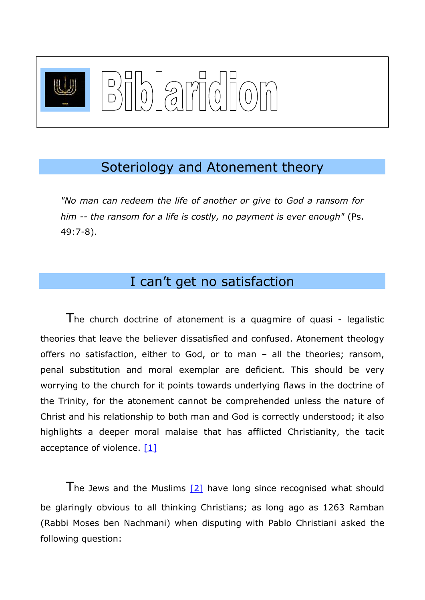

### Soteriology and Atonement theory

*"No man can redeem the life of another or give to God a ransom for him -- the ransom for a life is costly, no payment is ever enough"* (Ps. 49:7-8).

## I can't get no satisfaction

The church doctrine of atonement is a quagmire of quasi - legalistic theories that leave the believer dissatisfied and confused. Atonement theology offers no satisfaction, either to God, or to man – all the theories; ransom, penal substitution and moral exemplar are deficient. This should be very worrying to the church for it points towards underlying flaws in the doctrine of the Trinity, for the atonement cannot be comprehended unless the nature of Christ and his relationship to both man and God is correctly understood; it also highlights a deeper moral malaise that has afflicted Christianity, the tacit acceptance of violence. [1]

<span id="page-0-1"></span><span id="page-0-0"></span>The Jews and the Muslims  $[2]$  have long since recognised what should be glaringly obvious to all thinking Christians; as long ago as 1263 Ramban (Rabbi Moses ben Nachmani) when disputing with Pablo Christiani asked the following question: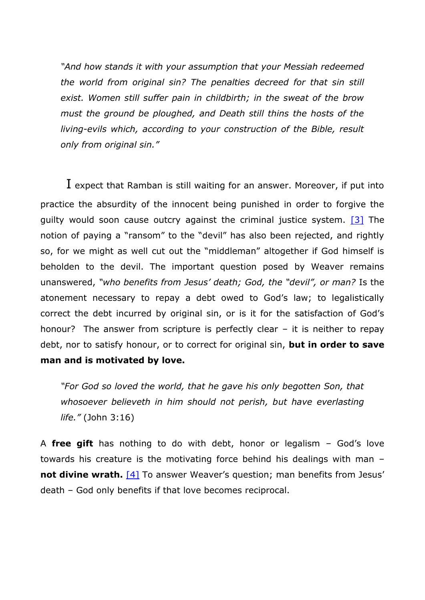*"And how stands it with your assumption that your Messiah redeemed the world from original sin? The penalties decreed for that sin still exist. Women still suffer pain in childbirth; in the sweat of the brow must the ground be ploughed, and Death still thins the hosts of the living-evils which, according to your construction of the Bible, result only from original sin."*

<span id="page-1-0"></span> $I$  expect that Ramban is still waiting for an answer. Moreover, if put into practice the absurdity of the innocent being punished in order to forgive the guilty would soon cause outcry against the criminal justice system.  $[3]$  The notion of paying a "ransom" to the "devil" has also been rejected, and rightly so, for we might as well cut out the "middleman" altogether if God himself is beholden to the devil. The important question posed by Weaver remains unanswered, *"who benefits from Jesus' death; God, the "devil", or man?* Is the atonement necessary to repay a debt owed to God's law; to legalistically correct the debt incurred by original sin, or is it for the satisfaction of God's honour? The answer from scripture is perfectly clear – it is neither to repay debt, nor to satisfy honour, or to correct for original sin, **but in order to save man and is motivated by love.**

*"For God so loved the world, that he gave his only begotten Son, that whosoever believeth in him should not perish, but have everlasting life."* (John 3:16)

<span id="page-1-1"></span>A **free gift** has nothing to do with debt, honor or legalism – God's love towards his creature is the motivating force behind his dealings with man – **not divine wrath.** [\[4\]](#page-11-2) To answer Weaver's question; man benefits from Jesus' death – God only benefits if that love becomes reciprocal.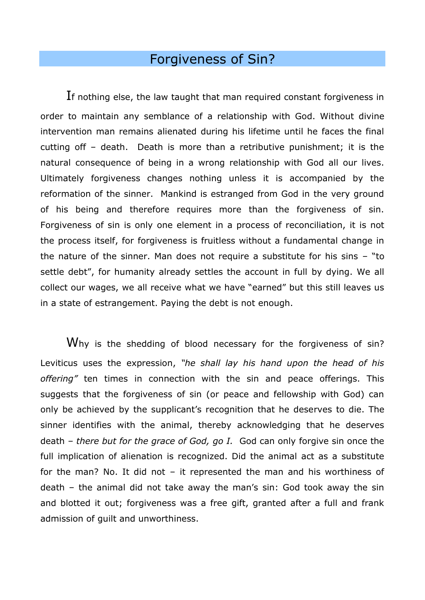# Forgiveness of Sin?

If nothing else, the law taught that man required constant forgiveness in order to maintain any semblance of a relationship with God. Without divine intervention man remains alienated during his lifetime until he faces the final cutting off – death. Death is more than a retributive punishment; it is the natural consequence of being in a wrong relationship with God all our lives. Ultimately forgiveness changes nothing unless it is accompanied by the reformation of the sinner. Mankind is estranged from God in the very ground of his being and therefore requires more than the forgiveness of sin. Forgiveness of sin is only one element in a process of reconciliation, it is not the process itself, for forgiveness is fruitless without a fundamental change in the nature of the sinner. Man does not require a substitute for his sins – "to settle debt", for humanity already settles the account in full by dying. We all collect our wages, we all receive what we have "earned" but this still leaves us in a state of estrangement. Paying the debt is not enough.

Why is the shedding of blood necessary for the forgiveness of sin? Leviticus uses the expression, *"he shall lay his hand upon the head of his offering"* ten times in connection with the sin and peace offerings. This suggests that the forgiveness of sin (or peace and fellowship with God) can only be achieved by the supplicant's recognition that he deserves to die. The sinner identifies with the animal, thereby acknowledging that he deserves death *– there but for the grace of God, go I.* God can only forgive sin once the full implication of alienation is recognized. Did the animal act as a substitute for the man? No. It did not – it represented the man and his worthiness of death – the animal did not take away the man's sin: God took away the sin and blotted it out; forgiveness was a free gift, granted after a full and frank admission of guilt and unworthiness.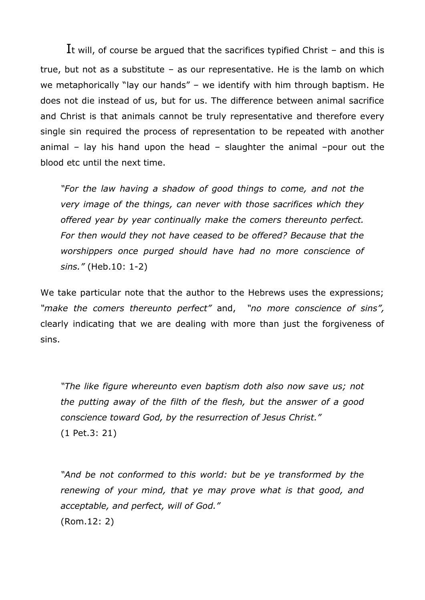It will, of course be argued that the sacrifices typified Christ – and this is true, but not as a substitute – as our representative. He is the lamb on which we metaphorically "lay our hands" – we identify with him through baptism. He does not die instead of us, but for us. The difference between animal sacrifice and Christ is that animals cannot be truly representative and therefore every single sin required the process of representation to be repeated with another animal – lay his hand upon the head – slaughter the animal –pour out the blood etc until the next time.

*"For the law having a shadow of good things to come, and not the very image of the things, can never with those sacrifices which they offered year by year continually make the comers thereunto perfect. For then would they not have ceased to be offered? Because that the worshippers once purged should have had no more conscience of sins."* (Heb.10: 1-2)

We take particular note that the author to the Hebrews uses the expressions; *"make the comers thereunto perfect"* and, *"no more conscience of sins",* clearly indicating that we are dealing with more than just the forgiveness of sins.

*"The like figure whereunto even baptism doth also now save us; not the putting away of the filth of the flesh, but the answer of a good conscience toward God, by the resurrection of Jesus Christ."* (1 Pet.3: 21)

*"And be not conformed to this world: but be ye transformed by the renewing of your mind, that ye may prove what is that good, and acceptable, and perfect, will of God."* (Rom.12: 2)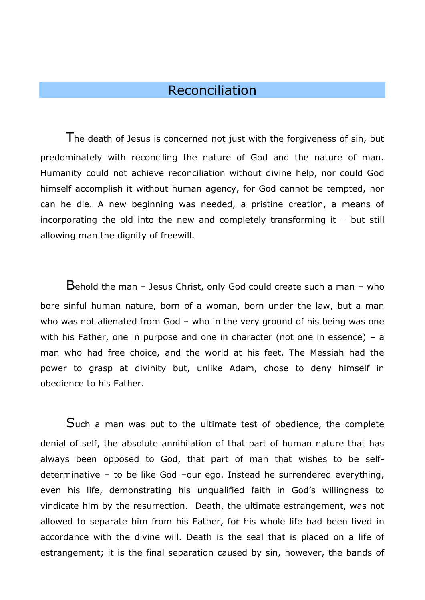#### Reconciliation

The death of Jesus is concerned not just with the forgiveness of sin, but predominately with reconciling the nature of God and the nature of man. Humanity could not achieve reconciliation without divine help, nor could God himself accomplish it without human agency, for God cannot be tempted, nor can he die. A new beginning was needed, a pristine creation, a means of incorporating the old into the new and completely transforming it – but still allowing man the dignity of freewill.

Behold the man – Jesus Christ, only God could create such a man – who bore sinful human nature, born of a woman, born under the law, but a man who was not alienated from God – who in the very ground of his being was one with his Father, one in purpose and one in character (not one in essence) - a man who had free choice, and the world at his feet. The Messiah had the power to grasp at divinity but, unlike Adam, chose to deny himself in obedience to his Father.

Such a man was put to the ultimate test of obedience, the complete denial of self, the absolute annihilation of that part of human nature that has always been opposed to God, that part of man that wishes to be selfdeterminative – to be like God –our ego. Instead he surrendered everything, even his life, demonstrating his unqualified faith in God's willingness to vindicate him by the resurrection. Death, the ultimate estrangement, was not allowed to separate him from his Father, for his whole life had been lived in accordance with the divine will. Death is the seal that is placed on a life of estrangement; it is the final separation caused by sin, however, the bands of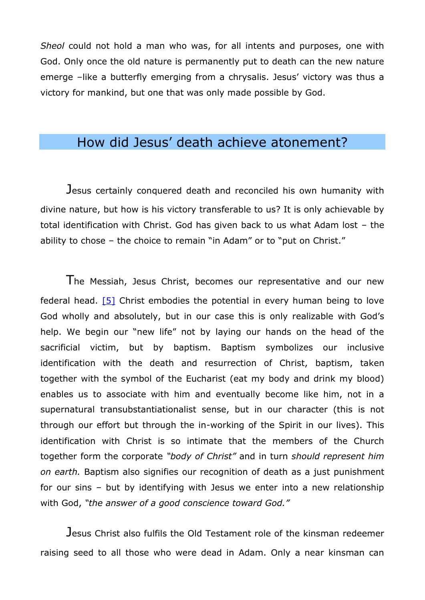*Sheol* could not hold a man who was, for all intents and purposes, one with God. Only once the old nature is permanently put to death can the new nature emerge –like a butterfly emerging from a chrysalis. Jesus' victory was thus a victory for mankind, but one that was only made possible by God.

## How did Jesus' death achieve atonement?

Jesus certainly conquered death and reconciled his own humanity with divine nature, but how is his victory transferable to us? It is only achievable by total identification with Christ. God has given back to us what Adam lost – the ability to chose – the choice to remain "in Adam" or to "put on Christ."

<span id="page-5-0"></span>The Messiah, Jesus Christ, becomes our representative and our new federal head. [\[5\]](#page-11-3) Christ embodies the potential in every human being to love God wholly and absolutely, but in our case this is only realizable with God's help. We begin our "new life" not by laying our hands on the head of the sacrificial victim, but by baptism. Baptism symbolizes our inclusive identification with the death and resurrection of Christ, baptism, taken together with the symbol of the Eucharist (eat my body and drink my blood) enables us to associate with him and eventually become like him, not in a supernatural transubstantiationalist sense, but in our character (this is not through our effort but through the in-working of the Spirit in our lives). This identification with Christ is so intimate that the members of the Church together form the corporate *"body of Christ"* and in turn *should represent him on earth.* Baptism also signifies our recognition of death as a just punishment for our sins – but by identifying with Jesus we enter into a new relationship with God, *"the answer of a good conscience toward God."* 

Jesus Christ also fulfils the Old Testament role of the kinsman redeemer raising seed to all those who were dead in Adam. Only a near kinsman can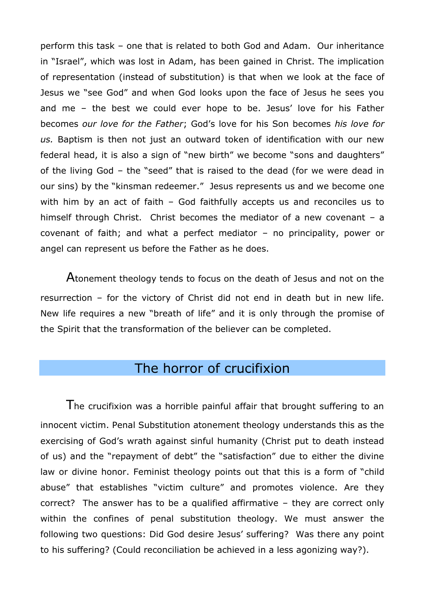perform this task – one that is related to both God and Adam. Our inheritance in "Israel", which was lost in Adam, has been gained in Christ. The implication of representation (instead of substitution) is that when we look at the face of Jesus we "see God" and when God looks upon the face of Jesus he sees you and me – the best we could ever hope to be. Jesus' love for his Father becomes *our love for the Father*; God's love for his Son becomes *his love for us.* Baptism is then not just an outward token of identification with our new federal head, it is also a sign of "new birth" we become "sons and daughters" of the living God – the "seed" that is raised to the dead (for we were dead in our sins) by the "kinsman redeemer." Jesus represents us and we become one with him by an act of faith - God faithfully accepts us and reconciles us to himself through Christ. Christ becomes the mediator of a new covenant - a covenant of faith; and what a perfect mediator – no principality, power or angel can represent us before the Father as he does.

Atonement theology tends to focus on the death of Jesus and not on the resurrection – for the victory of Christ did not end in death but in new life. New life requires a new "breath of life" and it is only through the promise of the Spirit that the transformation of the believer can be completed.

## The horror of crucifixion

The crucifixion was a horrible painful affair that brought suffering to an innocent victim. Penal Substitution atonement theology understands this as the exercising of God's wrath against sinful humanity (Christ put to death instead of us) and the "repayment of debt" the "satisfaction" due to either the divine law or divine honor. Feminist theology points out that this is a form of "child abuse" that establishes "victim culture" and promotes violence. Are they correct? The answer has to be a qualified affirmative – they are correct only within the confines of penal substitution theology. We must answer the following two questions: Did God desire Jesus' suffering? Was there any point to his suffering? (Could reconciliation be achieved in a less agonizing way?).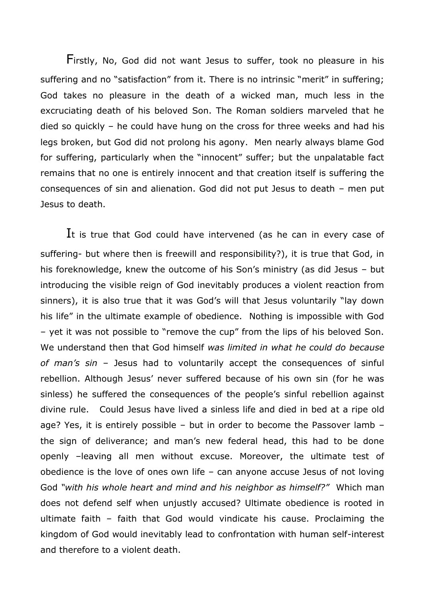Firstly, No, God did not want Jesus to suffer, took no pleasure in his suffering and no "satisfaction" from it. There is no intrinsic "merit" in suffering; God takes no pleasure in the death of a wicked man, much less in the excruciating death of his beloved Son. The Roman soldiers marveled that he died so quickly – he could have hung on the cross for three weeks and had his legs broken, but God did not prolong his agony. Men nearly always blame God for suffering, particularly when the "innocent" suffer; but the unpalatable fact remains that no one is entirely innocent and that creation itself is suffering the consequences of sin and alienation. God did not put Jesus to death – men put Jesus to death.

It is true that God could have intervened (as he can in every case of suffering- but where then is freewill and responsibility?), it is true that God, in his foreknowledge, knew the outcome of his Son's ministry (as did Jesus – but introducing the visible reign of God inevitably produces a violent reaction from sinners), it is also true that it was God's will that Jesus voluntarily "lay down his life" in the ultimate example of obedience. Nothing is impossible with God – yet it was not possible to "remove the cup" from the lips of his beloved Son. We understand then that God himself *was limited in what he could do because of man's sin* – Jesus had to voluntarily accept the consequences of sinful rebellion. Although Jesus' never suffered because of his own sin (for he was sinless) he suffered the consequences of the people's sinful rebellion against divine rule. Could Jesus have lived a sinless life and died in bed at a ripe old age? Yes, it is entirely possible – but in order to become the Passover lamb – the sign of deliverance; and man's new federal head, this had to be done openly –leaving all men without excuse. Moreover, the ultimate test of obedience is the love of ones own life – can anyone accuse Jesus of not loving God *"with his whole heart and mind and his neighbor as himself?"* Which man does not defend self when unjustly accused? Ultimate obedience is rooted in ultimate faith – faith that God would vindicate his cause. Proclaiming the kingdom of God would inevitably lead to confrontation with human self-interest and therefore to a violent death.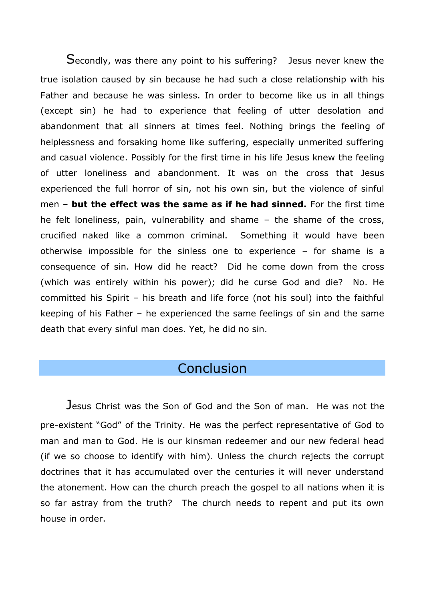Secondly, was there any point to his suffering? Jesus never knew the true isolation caused by sin because he had such a close relationship with his Father and because he was sinless. In order to become like us in all things (except sin) he had to experience that feeling of utter desolation and abandonment that all sinners at times feel. Nothing brings the feeling of helplessness and forsaking home like suffering, especially unmerited suffering and casual violence. Possibly for the first time in his life Jesus knew the feeling of utter loneliness and abandonment. It was on the cross that Jesus experienced the full horror of sin, not his own sin, but the violence of sinful men – **but the effect was the same as if he had sinned.** For the first time he felt loneliness, pain, vulnerability and shame – the shame of the cross, crucified naked like a common criminal. Something it would have been otherwise impossible for the sinless one to experience – for shame is a consequence of sin. How did he react? Did he come down from the cross (which was entirely within his power); did he curse God and die? No. He committed his Spirit – his breath and life force (not his soul) into the faithful keeping of his Father – he experienced the same feelings of sin and the same death that every sinful man does. Yet, he did no sin.

#### **Conclusion**

Jesus Christ was the Son of God and the Son of man. He was not the pre-existent "God" of the Trinity. He was the perfect representative of God to man and man to God. He is our kinsman redeemer and our new federal head (if we so choose to identify with him). Unless the church rejects the corrupt doctrines that it has accumulated over the centuries it will never understand the atonement. How can the church preach the gospel to all nations when it is so far astray from the truth? The church needs to repent and put its own house in order.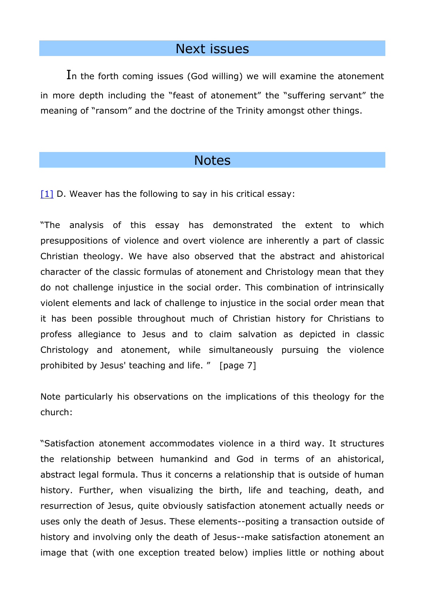#### Next issues

In the forth coming issues (God willing) we will examine the atonement in more depth including the "feast of atonement" the "suffering servant" the meaning of "ransom" and the doctrine of the Trinity amongst other things.

#### **Notes**

<span id="page-9-0"></span> $[1]$  D. Weaver has the following to say in his critical essay:

"The analysis of this essay has demonstrated the extent to which presuppositions of violence and overt violence are inherently a part of classic Christian theology. We have also observed that the abstract and ahistorical character of the classic formulas of atonement and Christology mean that they do not challenge injustice in the social order. This combination of intrinsically violent elements and lack of challenge to injustice in the social order mean that it has been possible throughout much of Christian history for Christians to profess allegiance to Jesus and to claim salvation as depicted in classic Christology and atonement, while simultaneously pursuing the violence prohibited by Jesus' teaching and life. " [page 7]

Note particularly his observations on the implications of this theology for the church:

"Satisfaction atonement accommodates violence in a third way. It structures the relationship between humankind and God in terms of an ahistorical, abstract legal formula. Thus it concerns a relationship that is outside of human history. Further, when visualizing the birth, life and teaching, death, and resurrection of Jesus, quite obviously satisfaction atonement actually needs or uses only the death of Jesus. These elements--positing a transaction outside of history and involving only the death of Jesus--make satisfaction atonement an image that (with one exception treated below) implies little or nothing about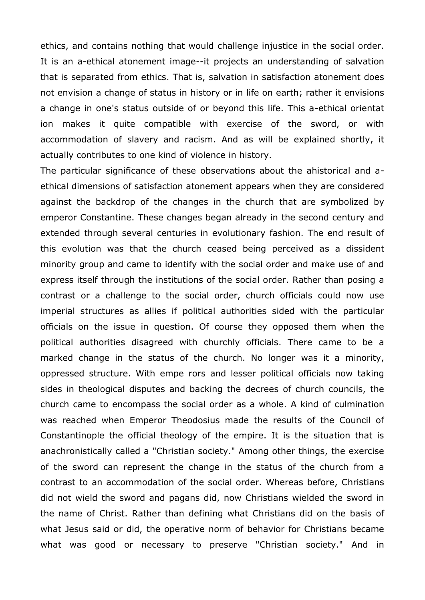ethics, and contains nothing that would challenge injustice in the social order. It is an a-ethical atonement image--it projects an understanding of salvation that is separated from ethics. That is, salvation in satisfaction atonement does not envision a change of status in history or in life on earth; rather it envisions a change in one's status outside of or beyond this life. This a-ethical orientat ion makes it quite compatible with exercise of the sword, or with accommodation of slavery and racism. And as will be explained shortly, it actually contributes to one kind of violence in history.

The particular significance of these observations about the ahistorical and aethical dimensions of satisfaction atonement appears when they are considered against the backdrop of the changes in the church that are symbolized by emperor Constantine. These changes began already in the second century and extended through several centuries in evolutionary fashion. The end result of this evolution was that the church ceased being perceived as a dissident minority group and came to identify with the social order and make use of and express itself through the institutions of the social order. Rather than posing a contrast or a challenge to the social order, church officials could now use imperial structures as allies if political authorities sided with the particular officials on the issue in question. Of course they opposed them when the political authorities disagreed with churchly officials. There came to be a marked change in the status of the church. No longer was it a minority, oppressed structure. With empe rors and lesser political officials now taking sides in theological disputes and backing the decrees of church councils, the church came to encompass the social order as a whole. A kind of culmination was reached when Emperor Theodosius made the results of the Council of Constantinople the official theology of the empire. It is the situation that is anachronistically called a "Christian society." Among other things, the exercise of the sword can represent the change in the status of the church from a contrast to an accommodation of the social order. Whereas before, Christians did not wield the sword and pagans did, now Christians wielded the sword in the name of Christ. Rather than defining what Christians did on the basis of what Jesus said or did, the operative norm of behavior for Christians became what was good or necessary to preserve "Christian society." And in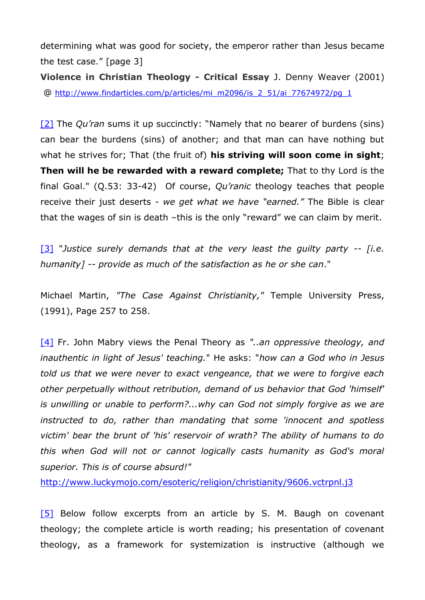determining what was good for society, the emperor rather than Jesus became the test case." [page 3]

**Violence in Christian Theology - Critical Essay** J. Denny Weaver (2001) @ [http://www.findarticles.com/p/articles/mi\\_m2096/is\\_2\\_51/ai\\_77674972/pg\\_1](http://www.findarticles.com/p/articles/mi_m2096/is_2_51/ai_77674972/pg_1)

<span id="page-11-0"></span>[\[2\]](#page-0-1) The *Qu'ran* sums it up succinctly: "Namely that no bearer of burdens (sins) can bear the burdens (sins) of another; and that man can have nothing but what he strives for; That (the fruit of) **his striving will soon come in sight**; **Then will he be rewarded with a reward complete;** That to thy Lord is the final Goal." (Q.53: 33-42) Of course, *Qu'ranic* theology teaches that people receive their just deserts - *we get what we have "earned."* The Bible is clear that the wages of sin is death –this is the only "reward" we can claim by merit.

<span id="page-11-1"></span>[\[3\]](#page-1-0) "*Justice surely demands that at the very least the guilty party -- [i.e. humanity] -- provide as much of the satisfaction as he or she can*."

Michael Martin, *"The Case Against Christianity,"* Temple University Press, (1991), Page 257 to 258.

<span id="page-11-2"></span>[\[4\]](#page-1-1) Fr. John Mabry views the Penal Theory as *"..an oppressive theology, and inauthentic in light of Jesus' teaching.*" He asks: "*how can a God who in Jesus told us that we were never to exact vengeance, that we were to forgive each other perpetually without retribution, demand of us behavior that God 'himself' is unwilling or unable to perform?...why can God not simply forgive as we are instructed to do, rather than mandating that some 'innocent and spotless victim' bear the brunt of 'his' reservoir of wrath? The ability of humans to do this when God will not or cannot logically casts humanity as God's moral superior. This is of course absurd!"*

<http://www.luckymojo.com/esoteric/religion/christianity/9606.vctrpnl.j3>

<span id="page-11-3"></span>[\[5\]](#page-5-0) Below follow excerpts from an article by S. M. Baugh on covenant theology; the complete article is worth reading; his presentation of covenant theology, as a framework for systemization is instructive (although we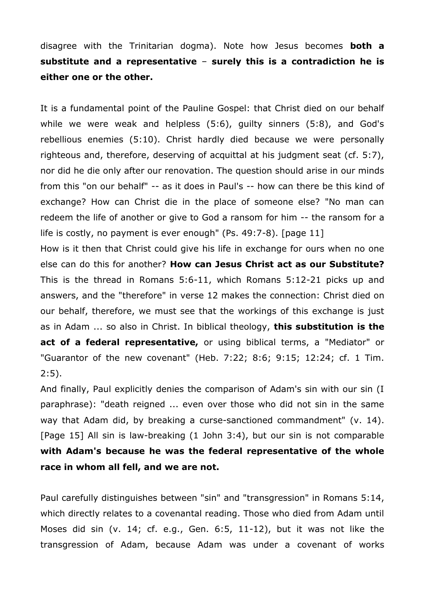disagree with the Trinitarian dogma). Note how Jesus becomes **both a substitute and a representative** – **surely this is a contradiction he is either one or the other.**

It is a fundamental point of the Pauline Gospel: that Christ died on our behalf while we were weak and helpless (5:6), guilty sinners (5:8), and God's rebellious enemies (5:10). Christ hardly died because we were personally righteous and, therefore, deserving of acquittal at his judgment seat (cf. 5:7), nor did he die only after our renovation. The question should arise in our minds from this "on our behalf" -- as it does in Paul's -- how can there be this kind of exchange? How can Christ die in the place of someone else? "No man can redeem the life of another or give to God a ransom for him -- the ransom for a life is costly, no payment is ever enough" (Ps. 49:7-8). [page 11]

How is it then that Christ could give his life in exchange for ours when no one else can do this for another? **How can Jesus Christ act as our Substitute?**  This is the thread in Romans 5:6-11, which Romans 5:12-21 picks up and answers, and the "therefore" in verse 12 makes the connection: Christ died on our behalf, therefore, we must see that the workings of this exchange is just as in Adam ... so also in Christ. In biblical theology, **this substitution is the act of a federal representative,** or using biblical terms, a "Mediator" or "Guarantor of the new covenant" (Heb. 7:22; 8:6; 9:15; 12:24; cf. 1 Tim. 2:5).

And finally, Paul explicitly denies the comparison of Adam's sin with our sin (I paraphrase): "death reigned ... even over those who did not sin in the same way that Adam did, by breaking a curse-sanctioned commandment" (v. 14). [Page 15] All sin is law-breaking (1 John 3:4), but our sin is not comparable **with Adam's because he was the federal representative of the whole race in whom all fell, and we are not.**

Paul carefully distinguishes between "sin" and "transgression" in Romans 5:14, which directly relates to a covenantal reading. Those who died from Adam until Moses did sin (v. 14; cf. e.g., Gen. 6:5, 11-12), but it was not like the transgression of Adam, because Adam was under a covenant of works